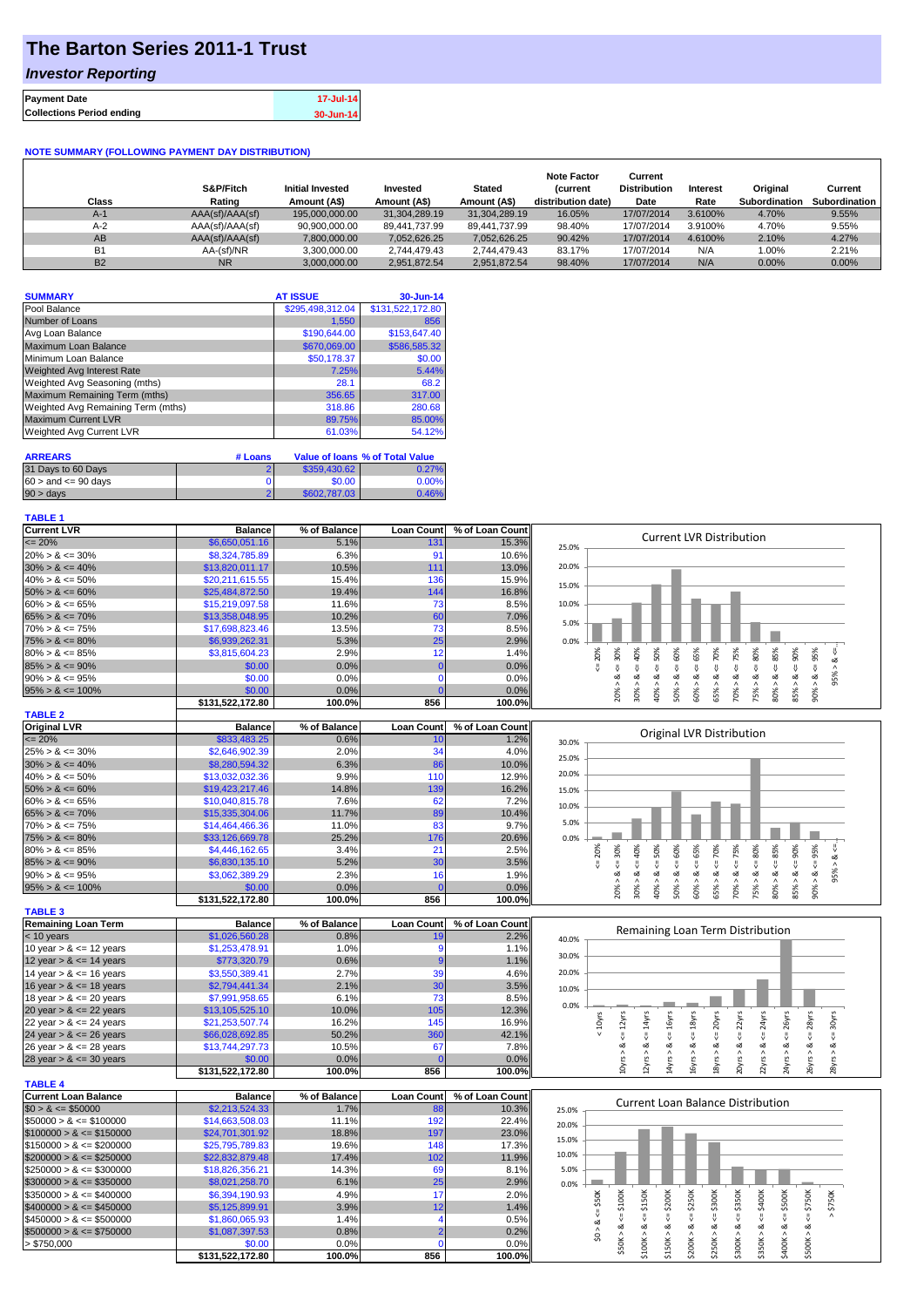# **The Barton Series 2011-1 Trust**

### *Investor Reporting*

| <b>Payment Date</b>              | 17-Jul-14 |
|----------------------------------|-----------|
| <b>Collections Period ending</b> | 30-Jun-14 |

#### **NOTE SUMMARY (FOLLOWING PAYMENT DAY DISTRIBUTION)**

| Class     | S&P/Fitch<br>Rating | <b>Initial Invested</b><br>Amount (A\$) | Invested<br>Amount (A\$) | <b>Stated</b><br>Amount (A\$) | <b>Note Factor</b><br><b>Current</b><br>distribution date) | Current<br><b>Distribution</b><br>Date | Interest<br>Rate | Original<br><b>Subordination</b> | Current<br>Subordination |
|-----------|---------------------|-----------------------------------------|--------------------------|-------------------------------|------------------------------------------------------------|----------------------------------------|------------------|----------------------------------|--------------------------|
| $A-1$     | AAA(sf)/AAA(sf)     | 195,000,000,00                          | 31.304.289.19            | 31.304.289.19                 | 16.05%                                                     | 17/07/2014                             | 3.6100%          | 4.70%                            | 9.55%                    |
| $A-2$     | AAA(sf)/AAA(sf)     | 90,900,000.00                           | 89,441,737.99            | 89.441.737.99                 | 98.40%                                                     | 17/07/2014                             | 3.9100%          | 4.70%                            | 9.55%                    |
| AB        | AAA(sf)/AAA(sf)     | 7.800.000.00                            | 7.052.626.25             | 7,052,626.25                  | 90.42%                                                     | 17/07/2014                             | 4.6100%          | 2.10%                            | 4.27%                    |
| <b>B1</b> | AA-(sf)/NR          | 3.300.000.00                            | 2.744.479.43             | 2.744.479.43                  | 83.17%                                                     | 17/07/2014                             | N/A              | 1.00%                            | 2.21%                    |
| <b>B2</b> | <b>NR</b>           | 3.000.000.00                            | 2.951.872.54             | 2,951,872.54                  | 98.40%                                                     | 17/07/2014                             | N/A              | $0.00\%$                         | 0.00%                    |

| <b>SUMMARY</b>                     | <b>AT ISSUE</b>  | 30-Jun-14        |
|------------------------------------|------------------|------------------|
| Pool Balance                       | \$295,498,312.04 | \$131,522,172.80 |
| Number of Loans                    | 1,550            | 856              |
| Avg Loan Balance                   | \$190,644.00     | \$153,647.40     |
| Maximum Loan Balance               | \$670,069.00     | \$586,585.32     |
| Minimum Loan Balance               | \$50,178.37      | \$0.00           |
| <b>Weighted Avg Interest Rate</b>  | 7.25%            | 5.44%            |
| Weighted Avg Seasoning (mths)      | 28.1             | 68.2             |
| Maximum Remaining Term (mths)      | 356.65           | 317.00           |
| Weighted Avg Remaining Term (mths) | 318.86           | 280.68           |
| <b>Maximum Current LVR</b>         | 89.75%           | 85.00%           |
| Weighted Avg Current LVR           | 61.03%           | 54.12%           |

| <b>ARREARS</b>            | # Loans |              | Value of Ioans % of Total Value |
|---------------------------|---------|--------------|---------------------------------|
| 31 Days to 60 Days        |         | \$359,430.62 | 0.27%                           |
| $60 >$ and $\leq 90$ days |         | \$0.00       | $0.00\%$                        |
| $90 > \text{days}$        |         | \$602,787,03 | 0.46%                           |

#### **TABLE 1**

| <b>Current LVR</b>                                                                                                                                                                          | <b>Balance</b>             | % of Balance   | <b>Loan Count</b>  | % of Loan Count | <b>Current LVR Distribution</b>                                                                                                                                             |
|---------------------------------------------------------------------------------------------------------------------------------------------------------------------------------------------|----------------------------|----------------|--------------------|-----------------|-----------------------------------------------------------------------------------------------------------------------------------------------------------------------------|
| $\epsilon = 20\%$                                                                                                                                                                           | \$6,650,051.16             | 5.1%           | 13 <sup>′</sup>    | 15.3%           | 25.0%                                                                                                                                                                       |
| $20\% > 8 \le 30\%$                                                                                                                                                                         | \$8,324,785.89             | 6.3%           | 91                 | 10.6%           |                                                                                                                                                                             |
| $30\% > 8 \le 40\%$                                                                                                                                                                         | \$13,820,011.17            | 10.5%          | 111                | 13.0%           | 20.0%                                                                                                                                                                       |
| $40\% > 8 \le 50\%$                                                                                                                                                                         | \$20,211,615.55            | 15.4%          | 136                | 15.9%           | 15.0%                                                                                                                                                                       |
| $50\% > 8 \le 60\%$                                                                                                                                                                         | \$25,484,872.50            | 19.4%          | 144                | 16.8%           |                                                                                                                                                                             |
| $60\% > 8 \le 65\%$                                                                                                                                                                         | \$15,219,097.58            | 11.6%          | 73                 | 8.5%            | 10.0%                                                                                                                                                                       |
| $65\% > 8 \le 70\%$                                                                                                                                                                         | \$13,358,048.95            | 10.2%          | 60                 | 7.0%            |                                                                                                                                                                             |
| $70\% > 8 \le 75\%$                                                                                                                                                                         | \$17,698,823.46            | 13.5%          | 73                 | 8.5%            | 5.0%                                                                                                                                                                        |
| $75\% > 8 \le 80\%$                                                                                                                                                                         | \$6,939,262.31             | 5.3%           | 25                 | 2.9%            | 0.0%                                                                                                                                                                        |
| $80\% > 8 \le 85\%$                                                                                                                                                                         | \$3,815,604.23             | 2.9%           | 12                 | 1.4%            | 70%<br>80%<br>∜                                                                                                                                                             |
| $85\% > 8 \le 90\%$                                                                                                                                                                         | \$0.00                     | 0.0%           | $\Omega$           | 0.0%            | $<=65%$<br>$<=$ 30%<br>40%<br>$<=50%$<br>$\le 60\%$<br>$<=75%$<br>$<=85%$<br>20%<br>90%<br>$<=95\%$                                                                         |
|                                                                                                                                                                                             |                            |                | $\Omega$           |                 | 95% > 8<br>₩<br>₩<br>V<br>ಹ<br>∞<br>ಹ<br>×<br>ø<br>∞                                                                                                                        |
| $90\% > 8 \le 95\%$                                                                                                                                                                         | \$0.00                     | 0.0%           | $\Omega$           | 0.0%            |                                                                                                                                                                             |
| $95\% > 8 \le 100\%$                                                                                                                                                                        | \$0.00                     | 0.0%           |                    | 0.0%            | 20% ><br>40% ><br>60% ><br>70% ><br>80%<br>85% ><br>$-800%$<br>$30\%$<br>50%<br>65% ><br>75% >                                                                              |
|                                                                                                                                                                                             | \$131,522,172.80           | 100.0%         | 856                | 100.0%          |                                                                                                                                                                             |
| <b>TABLE 2</b>                                                                                                                                                                              |                            |                |                    |                 |                                                                                                                                                                             |
| <b>Original LVR</b>                                                                                                                                                                         | <b>Balance</b>             | % of Balance   | <b>Loan Count</b>  | % of Loan Count | Original LVR Distribution                                                                                                                                                   |
| $= 20%$                                                                                                                                                                                     | \$833,483.25               | 0.6%           | 10                 | 1.2%            | 30.0%                                                                                                                                                                       |
| $25\% > 8 \le 30\%$                                                                                                                                                                         | \$2,646,902.39             | 2.0%           | 34                 | 4.0%            | 25.0%                                                                                                                                                                       |
| $30\% > 8 \le 40\%$                                                                                                                                                                         | \$8,280,594.32             | 6.3%           | 86                 | 10.0%           |                                                                                                                                                                             |
| $40\% > 8 \le 50\%$                                                                                                                                                                         | \$13,032,032.36            | 9.9%           | 110                | 12.9%           | 20.0%                                                                                                                                                                       |
| $50\% > 8 \le 60\%$                                                                                                                                                                         | \$19,423,217.46            | 14.8%          | 139                | 16.2%           | 15.0%                                                                                                                                                                       |
| $60\% > 8 \le 65\%$                                                                                                                                                                         | \$10,040,815.78            | 7.6%           | 62                 | 7.2%            | 10.0%                                                                                                                                                                       |
| $65\% > 8 \le 70\%$                                                                                                                                                                         | \$15,335,304.06            | 11.7%          | 89                 | 10.4%           |                                                                                                                                                                             |
| $70\% > 8 \le 75\%$                                                                                                                                                                         | \$14,464,466.36            | 11.0%          | 83                 | 9.7%            | 5.0%                                                                                                                                                                        |
| $75\% > 8 \le 80\%$                                                                                                                                                                         | \$33,126,669.78            | 25.2%          | 176                | 20.6%           | 0.0%                                                                                                                                                                        |
| $80\% > 8 \le 85\%$                                                                                                                                                                         | \$4,446,162.65             | 3.4%           | 21                 | 2.5%            | $\leq 85\%$<br>$4 = 75%$<br>$<= 90\%$<br>60%<br>70%<br>80%<br>20%                                                                                                           |
| $85\% > 8 \le 90\%$                                                                                                                                                                         | \$6,830,135.10             | 5.2%           | 30                 | 3.5%            | $<=50%$<br>$<=65\%$<br>$90\% > 8 <= 95\%$<br>$4 = 30\%$<br>40%<br>95% > 8 <<br>V<br>₹                                                                                       |
| $90\% > 8 \le 95\%$                                                                                                                                                                         | \$3,062,389.29             | 2.3%           | 16                 | 1.9%            | V<br>ઌ<br>ઌ<br>ಷ<br>ಷ<br>ಷ<br>ಹ                                                                                                                                             |
| $95\% > 8 \le 100\%$                                                                                                                                                                        | \$0.00                     | 0.0%           | $\mathbf 0$        | 0.0%            | $70\% > 8$<br>$80\% > 8$<br>85% > 8.<br>20% ><br>75%<br>$30\%$ >                                                                                                            |
|                                                                                                                                                                                             | \$131,522,172.80           | 100.0%         | 856                | 100.0%          | 40% ><br>60% ><br>65% ><br>50% >                                                                                                                                            |
| <b>TABLE 3</b>                                                                                                                                                                              |                            |                |                    |                 |                                                                                                                                                                             |
|                                                                                                                                                                                             |                            |                |                    |                 |                                                                                                                                                                             |
|                                                                                                                                                                                             |                            |                |                    |                 |                                                                                                                                                                             |
| <b>Remaining Loan Term</b>                                                                                                                                                                  | <b>Balance</b>             | % of Balance   | <b>Loan Count</b>  | % of Loan Count | Remaining Loan Term Distribution                                                                                                                                            |
| $<$ 10 years                                                                                                                                                                                | \$1,026,560.28             | 0.8%           | 19                 | 2.2%            | 40.0%                                                                                                                                                                       |
| 10 year $> 8 \le 12$ years                                                                                                                                                                  | \$1,253,478.91             | 1.0%           | $\overline{9}$     | 1.1%            | 30.0%                                                                                                                                                                       |
| 12 year $> 8 \le 14$ years                                                                                                                                                                  | \$773,320.79               | 0.6%           |                    | 1.1%            |                                                                                                                                                                             |
| 14 year $> 8 \le 16$ years                                                                                                                                                                  | \$3,550,389.41             | 2.7%           | 39                 | 4.6%            | 20.0%                                                                                                                                                                       |
| 16 year $> 8 \le 18$ years                                                                                                                                                                  | \$2,794,441.34             | 2.1%           | 30                 | 3.5%            | 10.0%                                                                                                                                                                       |
| 18 year $> 8 \le 20$ years                                                                                                                                                                  | \$7,991,958.65             | 6.1%           | 73                 | 8.5%            |                                                                                                                                                                             |
| 20 year $> 8 \le 22$ years                                                                                                                                                                  | \$13,105,525.10            | 10.0%          | 105                | 12.3%           | 0.0%                                                                                                                                                                        |
| 22 year $> 8 \le 24$ years                                                                                                                                                                  | \$21,253,507.74            | 16.2%          | 145                | 16.9%           |                                                                                                                                                                             |
|                                                                                                                                                                                             | \$66,028,692.85            | 50.2%          | 360                | 42.1%           | $\leq$ = 26yrs<br>$\leq$ = 28 $yrs$<br>$\leq 16$ yrs<br>$\leq$ = 18 $yrs$<br>$\leq$ = 20 $\gamma$ rs<br>$\leq$ = 22 $\gamma$ rs<br>$\leq$ = 14 $\gamma$ rs<br>$< 10$ yrs    |
| 24 year $> 8 \le 26$ years<br>26 year $> 8 \le 28$ years                                                                                                                                    | \$13,744,297.73            | 10.5%          | 67                 | 7.8%            |                                                                                                                                                                             |
| 28 year $> 8 \le 30$ years                                                                                                                                                                  | \$0.00                     | 0.0%           | $\mathbf{C}$       | 0.0%            |                                                                                                                                                                             |
|                                                                                                                                                                                             | \$131,522,172.80           | 100.0%         | 856                | 100.0%          | $22yrs > 8 <= 24yrs$<br>$10yrs > 8c = 12yrs$<br>$28yrs > 8 \leq 30yrs$<br>20yrs > 8<br>26yrs > 8<br>2yrs > 8<br>4yrs > 8<br>6yrs > 8<br>18yrs > 8.<br>24yrs > 8             |
|                                                                                                                                                                                             |                            |                |                    |                 |                                                                                                                                                                             |
|                                                                                                                                                                                             | <b>Balance</b>             | % of Balance   | <b>Loan Count</b>  | % of Loan Count |                                                                                                                                                                             |
|                                                                                                                                                                                             | \$2,213,524.33             | 1.7%           | 88                 | 10.3%           | <b>Current Loan Balance Distribution</b>                                                                                                                                    |
|                                                                                                                                                                                             | \$14,663,508.03            | 11.1%          | 192                | 22.4%           | 25.0%                                                                                                                                                                       |
|                                                                                                                                                                                             |                            | 18.8%          |                    | 23.0%           | 20.0%                                                                                                                                                                       |
|                                                                                                                                                                                             | \$24,701,301.92            |                | 197                |                 | 15.0%                                                                                                                                                                       |
|                                                                                                                                                                                             | \$25,795,789.83            | 19.6%          | 148                | 17.3%           | 10.0%                                                                                                                                                                       |
| <b>TABLE 4</b><br><b>Current Loan Balance</b><br>$$0 > 8 \leq $50000$<br>$$50000 > 8 \le $100000$<br>$$100000 > 8 \leq $150000$<br>$$150000 > 8 \leq $200000$<br>$$200000 > 8 \leq $250000$ | \$22,832,879.48            | 17.4%          | 102                | 11.9%           |                                                                                                                                                                             |
|                                                                                                                                                                                             | \$18,826,356.21            | 14.3%          | 69                 | 8.1%            | 5.0%                                                                                                                                                                        |
| $$250000 > 8 \leq $300000$<br>$$300000 > 8 \leq $350000$                                                                                                                                    | \$8,021,258.70             | 6.1%           | 25                 | 2.9%            | 0.0%                                                                                                                                                                        |
|                                                                                                                                                                                             | \$6,394,190.93             | 4.9%           | 17                 | 2.0%            |                                                                                                                                                                             |
| $$400000 > 8 \leq $450000$                                                                                                                                                                  | \$5,125,899.91             | 3.9%           | 12                 | 1.4%            | \$400K<br>$4 = $50K$                                                                                                                                                        |
| $$350000 > 8 \leq $400000$<br>$$450000 > 8 \leq $500000$                                                                                                                                    | \$1,860,065.93             | 1.4%           | $\overline{4}$     | 0.5%            | $4 = $300K$<br>$4 = $350K$<br>$4 = $500K$<br>> \$750K<br>₩                                                                                                                  |
| $$500000 > 8 \leq $750000$                                                                                                                                                                  | \$1,087,397.53             | 0.8%           | $\overline{2}$     | 0.2%            | \$0 > 8<br>ಹ                                                                                                                                                                |
| > \$750,000                                                                                                                                                                                 | \$0.00<br>\$131,522,172.80 | 0.0%<br>100.0% | $\mathbf 0$<br>856 | 0.0%<br>100.0%  | $$150K > 8 \le $200K$<br>$$200K > 8 \leq $250K$<br>$$50K > 8 <= $100K$<br>$$100K > 8 <= $150K$<br>$$500K > 8 <= $750K$<br>\$250K > 8<br>\$300K > 8<br>\$400K > 8<br>\$350K> |